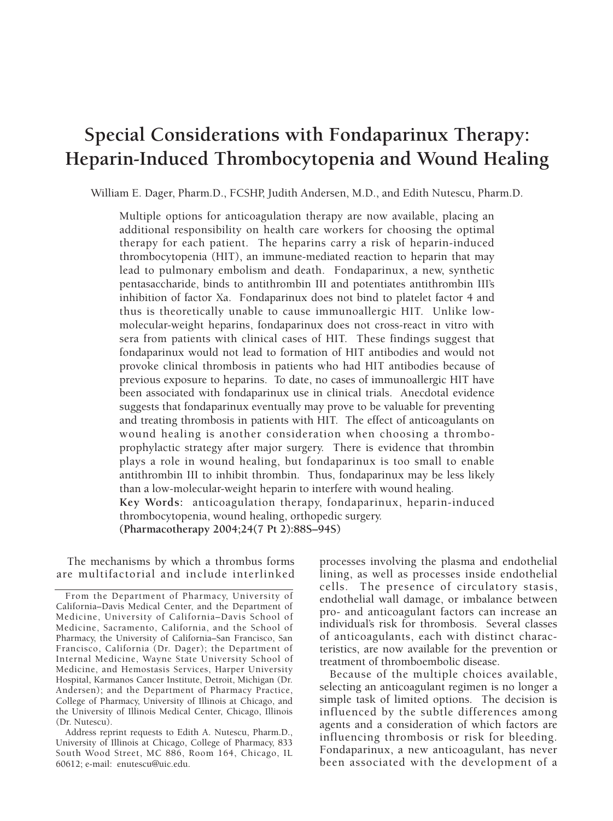# **Special Considerations with Fondaparinux Therapy: Heparin-Induced Thrombocytopenia and Wound Healing**

William E. Dager, Pharm.D., FCSHP, Judith Andersen, M.D., and Edith Nutescu, Pharm.D.

Multiple options for anticoagulation therapy are now available, placing an additional responsibility on health care workers for choosing the optimal therapy for each patient. The heparins carry a risk of heparin-induced thrombocytopenia (HIT), an immune-mediated reaction to heparin that may lead to pulmonary embolism and death. Fondaparinux, a new, synthetic pentasaccharide, binds to antithrombin III and potentiates antithrombin III's inhibition of factor Xa. Fondaparinux does not bind to platelet factor 4 and thus is theoretically unable to cause immunoallergic HIT. Unlike lowmolecular-weight heparins, fondaparinux does not cross-react in vitro with sera from patients with clinical cases of HIT. These findings suggest that fondaparinux would not lead to formation of HIT antibodies and would not provoke clinical thrombosis in patients who had HIT antibodies because of previous exposure to heparins. To date, no cases of immunoallergic HIT have been associated with fondaparinux use in clinical trials. Anecdotal evidence suggests that fondaparinux eventually may prove to be valuable for preventing and treating thrombosis in patients with HIT. The effect of anticoagulants on wound healing is another consideration when choosing a thromboprophylactic strategy after major surgery. There is evidence that thrombin plays a role in wound healing, but fondaparinux is too small to enable antithrombin III to inhibit thrombin. Thus, fondaparinux may be less likely than a low-molecular-weight heparin to interfere with wound healing. **Key Words:** anticoagulation therapy, fondaparinux, heparin-induced thrombocytopenia, wound healing, orthopedic surgery. **(Pharmacotherapy 2004;24(7 Pt 2):88S–94S)**

The mechanisms by which a thrombus forms are multifactorial and include interlinked

processes involving the plasma and endothelial lining, as well as processes inside endothelial cells. The presence of circulatory stasis, endothelial wall damage, or imbalance between pro- and anticoagulant factors can increase an individual's risk for thrombosis. Several classes of anticoagulants, each with distinct characteristics, are now available for the prevention or treatment of thromboembolic disease.

Because of the multiple choices available, selecting an anticoagulant regimen is no longer a simple task of limited options. The decision is influenced by the subtle differences among agents and a consideration of which factors are influencing thrombosis or risk for bleeding. Fondaparinux, a new anticoagulant, has never been associated with the development of a

From the Department of Pharmacy, University of California–Davis Medical Center, and the Department of Medicine, University of California–Davis School of Medicine, Sacramento, California, and the School of Pharmacy, the University of California–San Francisco, San Francisco, California (Dr. Dager); the Department of Internal Medicine, Wayne State University School of Medicine, and Hemostasis Services, Harper University Hospital, Karmanos Cancer Institute, Detroit, Michigan (Dr. Andersen); and the Department of Pharmacy Practice, College of Pharmacy, University of Illinois at Chicago, and the University of Illinois Medical Center, Chicago, Illinois (Dr. Nutescu).

Address reprint requests to Edith A. Nutescu, Pharm.D., University of Illinois at Chicago, College of Pharmacy, 833 South Wood Street, MC 886, Room 164, Chicago, IL 60612; e-mail: enutescu@uic.edu.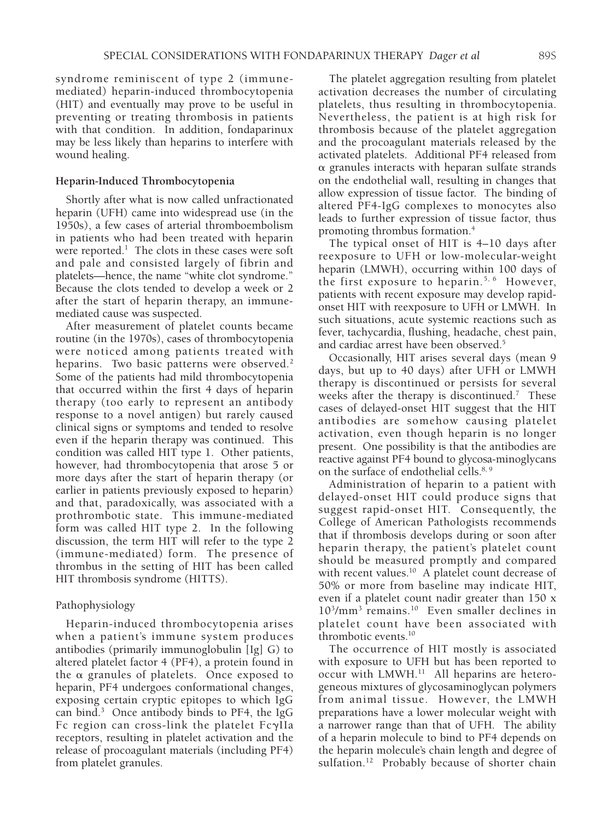syndrome reminiscent of type 2 (immunemediated) heparin-induced thrombocytopenia (HIT) and eventually may prove to be useful in preventing or treating thrombosis in patients with that condition. In addition, fondaparinux may be less likely than heparins to interfere with wound healing.

## **Heparin-Induced Thrombocytopenia**

Shortly after what is now called unfractionated heparin (UFH) came into widespread use (in the 1950s), a few cases of arterial thromboembolism in patients who had been treated with heparin were reported. $<sup>1</sup>$  The clots in these cases were soft</sup> and pale and consisted largely of fibrin and platelets—hence, the name "white clot syndrome." Because the clots tended to develop a week or 2 after the start of heparin therapy, an immunemediated cause was suspected.

After measurement of platelet counts became routine (in the 1970s), cases of thrombocytopenia were noticed among patients treated with heparins. Two basic patterns were observed.<sup>2</sup> Some of the patients had mild thrombocytopenia that occurred within the first 4 days of heparin therapy (too early to represent an antibody response to a novel antigen) but rarely caused clinical signs or symptoms and tended to resolve even if the heparin therapy was continued. This condition was called HIT type 1. Other patients, however, had thrombocytopenia that arose 5 or more days after the start of heparin therapy (or earlier in patients previously exposed to heparin) and that, paradoxically, was associated with a prothrombotic state. This immune-mediated form was called HIT type 2. In the following discussion, the term HIT will refer to the type 2 (immune-mediated) form. The presence of thrombus in the setting of HIT has been called HIT thrombosis syndrome (HITTS).

# Pathophysiology

Heparin-induced thrombocytopenia arises when a patient's immune system produces antibodies (primarily immunoglobulin [Ig] G) to altered platelet factor 4 (PF4), a protein found in the a granules of platelets. Once exposed to heparin, PF4 undergoes conformational changes, exposing certain cryptic epitopes to which IgG can bind.3 Once antibody binds to PF4, the IgG Fc region can cross-link the platelet FcgIIa receptors, resulting in platelet activation and the release of procoagulant materials (including PF4) from platelet granules.

The platelet aggregation resulting from platelet activation decreases the number of circulating platelets, thus resulting in thrombocytopenia. Nevertheless, the patient is at high risk for thrombosis because of the platelet aggregation and the procoagulant materials released by the activated platelets. Additional PF4 released from  $\alpha$  granules interacts with heparan sulfate strands on the endothelial wall, resulting in changes that allow expression of tissue factor. The binding of altered PF4-IgG complexes to monocytes also leads to further expression of tissue factor, thus promoting thrombus formation.4

The typical onset of HIT is 4–10 days after reexposure to UFH or low-molecular-weight heparin (LMWH), occurring within 100 days of the first exposure to heparin.<sup>5, 6</sup> However, patients with recent exposure may develop rapidonset HIT with reexposure to UFH or LMWH. In such situations, acute systemic reactions such as fever, tachycardia, flushing, headache, chest pain, and cardiac arrest have been observed.<sup>5</sup>

Occasionally, HIT arises several days (mean 9 days, but up to 40 days) after UFH or LMWH therapy is discontinued or persists for several weeks after the therapy is discontinued.<sup>7</sup> These cases of delayed-onset HIT suggest that the HIT antibodies are somehow causing platelet activation, even though heparin is no longer present. One possibility is that the antibodies are reactive against PF4 bound to glycosa-minoglycans on the surface of endothelial cells.<sup>8, 9</sup>

Administration of heparin to a patient with delayed-onset HIT could produce signs that suggest rapid-onset HIT. Consequently, the College of American Pathologists recommends that if thrombosis develops during or soon after heparin therapy, the patient's platelet count should be measured promptly and compared with recent values.<sup>10</sup> A platelet count decrease of 50% or more from baseline may indicate HIT, even if a platelet count nadir greater than 150 x 103 /mm3 remains.10 Even smaller declines in platelet count have been associated with thrombotic events.10

The occurrence of HIT mostly is associated with exposure to UFH but has been reported to occur with LMWH.<sup>11</sup> All heparins are heterogeneous mixtures of glycosaminoglycan polymers from animal tissue. However, the LMWH preparations have a lower molecular weight with a narrower range than that of UFH. The ability of a heparin molecule to bind to PF4 depends on the heparin molecule's chain length and degree of sulfation.<sup>12</sup> Probably because of shorter chain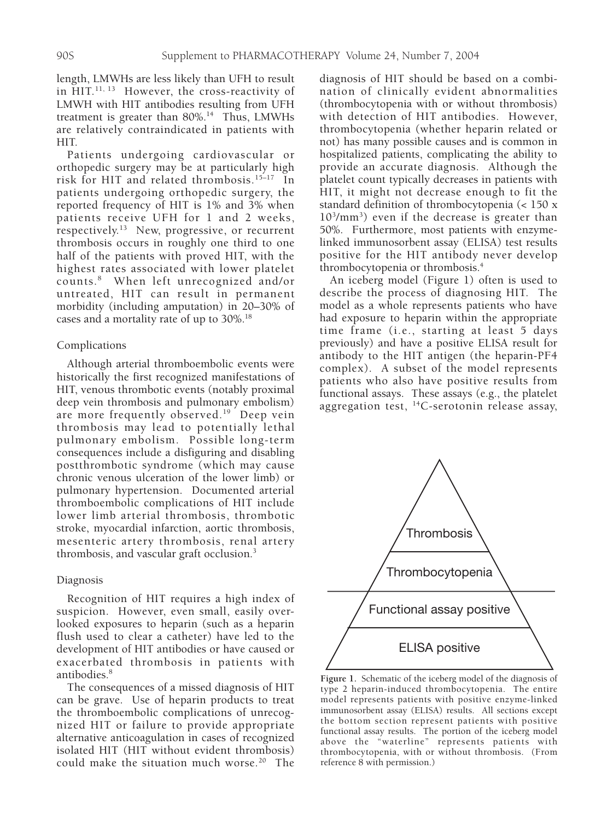length, LMWHs are less likely than UFH to result in HIT.<sup>11, 13</sup> However, the cross-reactivity of LMWH with HIT antibodies resulting from UFH treatment is greater than  $80\%$ .<sup>14</sup> Thus, LMWHs are relatively contraindicated in patients with HIT.

Patients undergoing cardiovascular or orthopedic surgery may be at particularly high risk for HIT and related thrombosis.15–17 In patients undergoing orthopedic surgery, the reported frequency of HIT is 1% and 3% when patients receive UFH for 1 and 2 weeks, respectively.<sup>13</sup> New, progressive, or recurrent thrombosis occurs in roughly one third to one half of the patients with proved HIT, with the highest rates associated with lower platelet counts.8 When left unrecognized and/or untreated, HIT can result in permanent morbidity (including amputation) in 20–30% of cases and a mortality rate of up to 30%.18

## Complications

Although arterial thromboembolic events were historically the first recognized manifestations of HIT, venous thrombotic events (notably proximal deep vein thrombosis and pulmonary embolism) are more frequently observed.<sup>19</sup> Deep vein thrombosis may lead to potentially lethal pulmonary embolism. Possible long-term consequences include a disfiguring and disabling postthrombotic syndrome (which may cause chronic venous ulceration of the lower limb) or pulmonary hypertension. Documented arterial thromboembolic complications of HIT include lower limb arterial thrombosis, thrombotic stroke, myocardial infarction, aortic thrombosis, mesenteric artery thrombosis, renal artery thrombosis, and vascular graft occlusion.<sup>3</sup>

## Diagnosis

Recognition of HIT requires a high index of suspicion. However, even small, easily overlooked exposures to heparin (such as a heparin flush used to clear a catheter) have led to the development of HIT antibodies or have caused or exacerbated thrombosis in patients with antibodies.<sup>8</sup>

The consequences of a missed diagnosis of HIT can be grave. Use of heparin products to treat the thromboembolic complications of unrecognized HIT or failure to provide appropriate alternative anticoagulation in cases of recognized isolated HIT (HIT without evident thrombosis) could make the situation much worse.<sup>20</sup> The diagnosis of HIT should be based on a combination of clinically evident abnormalities (thrombocytopenia with or without thrombosis) with detection of HIT antibodies. However, thrombocytopenia (whether heparin related or not) has many possible causes and is common in hospitalized patients, complicating the ability to provide an accurate diagnosis. Although the platelet count typically decreases in patients with HIT, it might not decrease enough to fit the standard definition of thrombocytopenia (< 150 x 103 /mm3 ) even if the decrease is greater than 50%. Furthermore, most patients with enzymelinked immunosorbent assay (ELISA) test results positive for the HIT antibody never develop thrombocytopenia or thrombosis.4

An iceberg model (Figure 1) often is used to describe the process of diagnosing HIT. The model as a whole represents patients who have had exposure to heparin within the appropriate time frame (i.e., starting at least 5 days previously) and have a positive ELISA result for antibody to the HIT antigen (the heparin-PF4 complex). A subset of the model represents patients who also have positive results from functional assays. These assays (e.g., the platelet aggregation test, 14C-serotonin release assay,



**Figure 1.** Schematic of the iceberg model of the diagnosis of type 2 heparin-induced thrombocytopenia. The entire model represents patients with positive enzyme-linked immunosorbent assay (ELISA) results. All sections except the bottom section represent patients with positive functional assay results. The portion of the iceberg model above the "waterline" represents patients with thrombocytopenia, with or without thrombosis. (From reference 8 with permission.)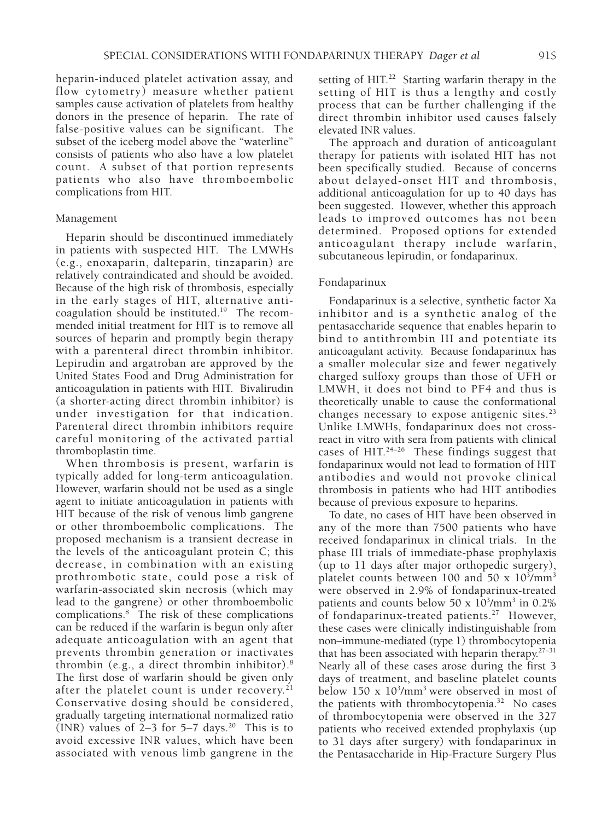heparin-induced platelet activation assay, and flow cytometry) measure whether patient samples cause activation of platelets from healthy donors in the presence of heparin. The rate of false-positive values can be significant. The subset of the iceberg model above the "waterline" consists of patients who also have a low platelet count. A subset of that portion represents patients who also have thromboembolic complications from HIT.

#### Management

Heparin should be discontinued immediately in patients with suspected HIT. The LMWHs (e.g., enoxaparin, dalteparin, tinzaparin) are relatively contraindicated and should be avoided. Because of the high risk of thrombosis, especially in the early stages of HIT, alternative anticoagulation should be instituted.<sup>19</sup> The recommended initial treatment for HIT is to remove all sources of heparin and promptly begin therapy with a parenteral direct thrombin inhibitor. Lepirudin and argatroban are approved by the United States Food and Drug Administration for anticoagulation in patients with HIT. Bivalirudin (a shorter-acting direct thrombin inhibitor) is under investigation for that indication. Parenteral direct thrombin inhibitors require careful monitoring of the activated partial thromboplastin time.

When thrombosis is present, warfarin is typically added for long-term anticoagulation. However, warfarin should not be used as a single agent to initiate anticoagulation in patients with HIT because of the risk of venous limb gangrene or other thromboembolic complications. The proposed mechanism is a transient decrease in the levels of the anticoagulant protein C; this decrease, in combination with an existing prothrombotic state, could pose a risk of warfarin-associated skin necrosis (which may lead to the gangrene) or other thromboembolic complications.8 The risk of these complications can be reduced if the warfarin is begun only after adequate anticoagulation with an agent that prevents thrombin generation or inactivates thrombin (e.g., a direct thrombin inhibitor).8 The first dose of warfarin should be given only after the platelet count is under recovery.<sup>21</sup> Conservative dosing should be considered, gradually targeting international normalized ratio (INR) values of  $2-3$  for  $5-7$  days.<sup>20</sup> This is to avoid excessive INR values, which have been associated with venous limb gangrene in the

setting of HIT.<sup>22</sup> Starting warfarin therapy in the setting of HIT is thus a lengthy and costly process that can be further challenging if the direct thrombin inhibitor used causes falsely elevated INR values.

The approach and duration of anticoagulant therapy for patients with isolated HIT has not been specifically studied. Because of concerns about delayed-onset HIT and thrombosis, additional anticoagulation for up to 40 days has been suggested. However, whether this approach leads to improved outcomes has not been determined. Proposed options for extended anticoagulant therapy include warfarin, subcutaneous lepirudin, or fondaparinux.

## Fondaparinux

Fondaparinux is a selective, synthetic factor Xa inhibitor and is a synthetic analog of the pentasaccharide sequence that enables heparin to bind to antithrombin III and potentiate its anticoagulant activity. Because fondaparinux has a smaller molecular size and fewer negatively charged sulfoxy groups than those of UFH or LMWH, it does not bind to PF4 and thus is theoretically unable to cause the conformational changes necessary to expose antigenic sites. $^{23}$ Unlike LMWHs, fondaparinux does not crossreact in vitro with sera from patients with clinical cases of HIT.<sup>24-26</sup> These findings suggest that fondaparinux would not lead to formation of HIT antibodies and would not provoke clinical thrombosis in patients who had HIT antibodies because of previous exposure to heparins.

To date, no cases of HIT have been observed in any of the more than 7500 patients who have received fondaparinux in clinical trials. In the phase III trials of immediate-phase prophylaxis (up to 11 days after major orthopedic surgery), platelet counts between  $100$  and  $50 \times 10^3/\mathrm{mm}^3$ were observed in 2.9% of fondaparinux-treated patients and counts below 50 x  $10^{3}/\text{mm}^{3}$  in 0.2% of fondaparinux-treated patients.<sup>27</sup> However, these cases were clinically indistinguishable from non–immune-mediated (type 1) thrombocytopenia that has been associated with heparin therapy.27–31 Nearly all of these cases arose during the first 3 days of treatment, and baseline platelet counts below  $150 \times 10^3/\text{mm}^3$  were observed in most of the patients with thrombocytopenia.<sup>32</sup> No cases of thrombocytopenia were observed in the 327 patients who received extended prophylaxis (up to 31 days after surgery) with fondaparinux in the Pentasaccharide in Hip-Fracture Surgery Plus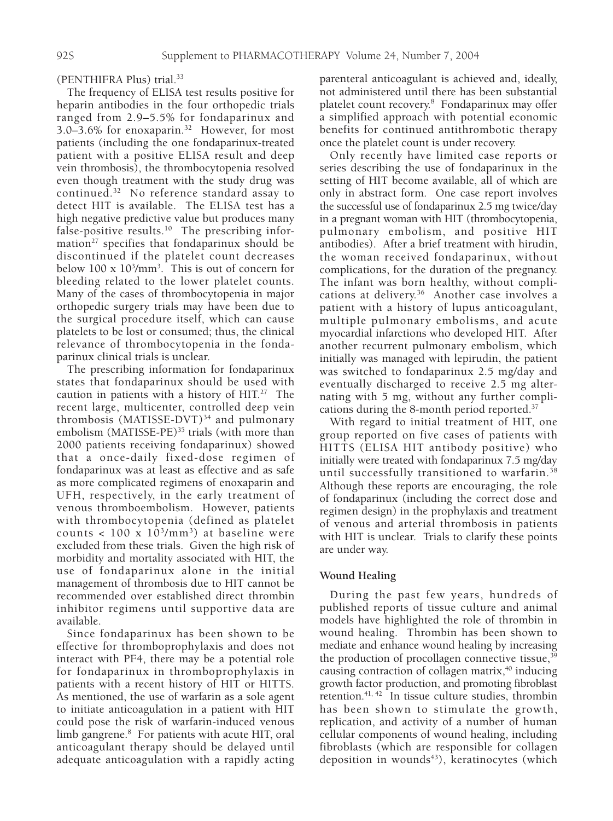(PENTHIFRA Plus) trial.33

The frequency of ELISA test results positive for heparin antibodies in the four orthopedic trials ranged from 2.9–5.5% for fondaparinux and 3.0–3.6% for enoxaparin.32 However, for most patients (including the one fondaparinux-treated patient with a positive ELISA result and deep vein thrombosis), the thrombocytopenia resolved even though treatment with the study drug was continued.<sup>32</sup> No reference standard assay to detect HIT is available. The ELISA test has a high negative predictive value but produces many false-positive results. $10$  The prescribing information<sup>27</sup> specifies that fondaparinux should be discontinued if the platelet count decreases below  $100 \times 10^3/\text{mm}^3$ . This is out of concern for bleeding related to the lower platelet counts. Many of the cases of thrombocytopenia in major orthopedic surgery trials may have been due to the surgical procedure itself, which can cause platelets to be lost or consumed; thus, the clinical relevance of thrombocytopenia in the fondaparinux clinical trials is unclear.

The prescribing information for fondaparinux states that fondaparinux should be used with caution in patients with a history of  $HIT<sub>1</sub><sup>27</sup>$  The recent large, multicenter, controlled deep vein thrombosis (MATISSE-DVT) $34$  and pulmonary embolism (MATISSE-PE)<sup>35</sup> trials (with more than 2000 patients receiving fondaparinux) showed that a once-daily fixed-dose regimen of fondaparinux was at least as effective and as safe as more complicated regimens of enoxaparin and UFH, respectively, in the early treatment of venous thromboembolism. However, patients with thrombocytopenia (defined as platelet counts  $< 100 \times 10^{3}/\text{mm}^3$  at baseline were excluded from these trials. Given the high risk of morbidity and mortality associated with HIT, the use of fondaparinux alone in the initial management of thrombosis due to HIT cannot be recommended over established direct thrombin inhibitor regimens until supportive data are available.

Since fondaparinux has been shown to be effective for thromboprophylaxis and does not interact with PF4, there may be a potential role for fondaparinux in thromboprophylaxis in patients with a recent history of HIT or HITTS. As mentioned, the use of warfarin as a sole agent to initiate anticoagulation in a patient with HIT could pose the risk of warfarin-induced venous limb gangrene.<sup>8</sup> For patients with acute HIT, oral anticoagulant therapy should be delayed until adequate anticoagulation with a rapidly acting

parenteral anticoagulant is achieved and, ideally, not administered until there has been substantial platelet count recovery.8 Fondaparinux may offer a simplified approach with potential economic benefits for continued antithrombotic therapy once the platelet count is under recovery.

Only recently have limited case reports or series describing the use of fondaparinux in the setting of HIT become available, all of which are only in abstract form. One case report involves the successful use of fondaparinux 2.5 mg twice/day in a pregnant woman with HIT (thrombocytopenia, pulmonary embolism, and positive HIT antibodies). After a brief treatment with hirudin, the woman received fondaparinux, without complications, for the duration of the pregnancy. The infant was born healthy, without complications at delivery.<sup>36</sup> Another case involves a patient with a history of lupus anticoagulant, multiple pulmonary embolisms, and acute myocardial infarctions who developed HIT. After another recurrent pulmonary embolism, which initially was managed with lepirudin, the patient was switched to fondaparinux 2.5 mg/day and eventually discharged to receive 2.5 mg alternating with 5 mg, without any further complications during the 8-month period reported.37

With regard to initial treatment of HIT, one group reported on five cases of patients with HITTS (ELISA HIT antibody positive) who initially were treated with fondaparinux 7.5 mg/day until successfully transitioned to warfarin.38 Although these reports are encouraging, the role of fondaparinux (including the correct dose and regimen design) in the prophylaxis and treatment of venous and arterial thrombosis in patients with HIT is unclear. Trials to clarify these points are under way.

# **Wound Healing**

During the past few years, hundreds of published reports of tissue culture and animal models have highlighted the role of thrombin in wound healing. Thrombin has been shown to mediate and enhance wound healing by increasing the production of procollagen connective tissue,<sup>39</sup> causing contraction of collagen matrix, $40$  inducing growth factor production, and promoting fibroblast retention. $41, 42$  In tissue culture studies, thrombin has been shown to stimulate the growth, replication, and activity of a number of human cellular components of wound healing, including fibroblasts (which are responsible for collagen deposition in wounds $43$ ), keratinocytes (which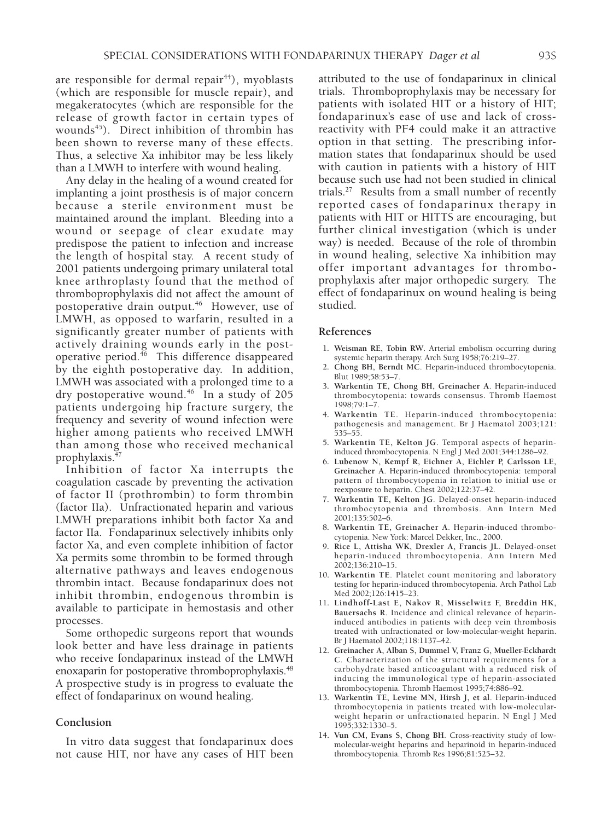are responsible for dermal repair<sup>44</sup>), myoblasts (which are responsible for muscle repair), and megakeratocytes (which are responsible for the release of growth factor in certain types of wounds<sup>45</sup>). Direct inhibition of thrombin has been shown to reverse many of these effects. Thus, a selective Xa inhibitor may be less likely than a LMWH to interfere with wound healing.

Any delay in the healing of a wound created for implanting a joint prosthesis is of major concern because a sterile environment must be maintained around the implant. Bleeding into a wound or seepage of clear exudate may predispose the patient to infection and increase the length of hospital stay. A recent study of 2001 patients undergoing primary unilateral total knee arthroplasty found that the method of thromboprophylaxis did not affect the amount of postoperative drain output.<sup>46</sup> However, use of LMWH, as opposed to warfarin, resulted in a significantly greater number of patients with actively draining wounds early in the postoperative period.<sup>46</sup> This difference disappeared by the eighth postoperative day. In addition, LMWH was associated with a prolonged time to a dry postoperative wound.<sup>46</sup> In a study of 205 patients undergoing hip fracture surgery, the frequency and severity of wound infection were higher among patients who received LMWH than among those who received mechanical prophylaxis.<sup>47</sup>

Inhibition of factor Xa interrupts the coagulation cascade by preventing the activation of factor II (prothrombin) to form thrombin (factor IIa). Unfractionated heparin and various LMWH preparations inhibit both factor Xa and factor IIa. Fondaparinux selectively inhibits only factor Xa, and even complete inhibition of factor Xa permits some thrombin to be formed through alternative pathways and leaves endogenous thrombin intact. Because fondaparinux does not inhibit thrombin, endogenous thrombin is available to participate in hemostasis and other processes.

Some orthopedic surgeons report that wounds look better and have less drainage in patients who receive fondaparinux instead of the LMWH enoxaparin for postoperative thromboprophylaxis.<sup>48</sup> A prospective study is in progress to evaluate the effect of fondaparinux on wound healing.

## **Conclusion**

In vitro data suggest that fondaparinux does not cause HIT, nor have any cases of HIT been attributed to the use of fondaparinux in clinical trials. Thromboprophylaxis may be necessary for patients with isolated HIT or a history of HIT; fondaparinux's ease of use and lack of crossreactivity with PF4 could make it an attractive option in that setting. The prescribing information states that fondaparinux should be used with caution in patients with a history of HIT because such use had not been studied in clinical trials.27 Results from a small number of recently reported cases of fondaparinux therapy in patients with HIT or HITTS are encouraging, but further clinical investigation (which is under way) is needed. Because of the role of thrombin in wound healing, selective Xa inhibition may offer important advantages for thromboprophylaxis after major orthopedic surgery. The effect of fondaparinux on wound healing is being studied.

#### **References**

- 1**. Weisman RE, Tobin RW**. Arterial embolism occurring during systemic heparin therapy. Arch Surg 1958;76:219–27.
- 2**. Chong BH, Berndt MC**. Heparin-induced thrombocytopenia. Blut 1989;58:53–7.
- 3**. Warkentin TE, Chong BH, Greinacher A**. Heparin-induced thrombocytopenia: towards consensus. Thromb Haemost 1998;79:1–7.
- 4**. Warkentin TE**. Heparin-induced thrombocytopenia: pathogenesis and management. Br J Haematol 2003;121: 535–55.
- 5**. Warkentin TE, Kelton JG**. Temporal aspects of heparininduced thrombocytopenia. N Engl J Med 2001;344:1286–92.
- 6**. Lubenow N, Kempf R, Eichner A, Eichler P, Carlsson LE, Greinacher A**. Heparin-induced thrombocytopenia: temporal pattern of thrombocytopenia in relation to initial use or reexposure to heparin. Chest 2002;122:37–42.
- 7**. Warkentin TE, Kelton JG**. Delayed-onset heparin-induced thrombocytopenia and thrombosis. Ann Intern Med 2001;135:502–6.
- 8**. Warkentin TE, Greinacher A**. Heparin-induced thrombocytopenia. New York: Marcel Dekker, Inc., 2000.
- 9**. Rice L, Attisha WK, Drexler A, Francis JL**. Delayed-onset heparin-induced thrombocytopenia. Ann Intern Med 2002;136:210–15.
- 10**. Warkentin TE**. Platelet count monitoring and laboratory testing for heparin-induced thrombocytopenia. Arch Pathol Lab Med 2002;126:1415–23.
- 11**. Lindhoff-Last E, Nakov R, Misselwitz F, Breddin HK, Bauersachs R**. Incidence and clinical relevance of heparininduced antibodies in patients with deep vein thrombosis treated with unfractionated or low-molecular-weight heparin. Br J Haematol 2002;118:1137–42.
- 12**. Greinacher A, Alban S, Dummel V, Franz G, Mueller-Eckhardt C**. Characterization of the structural requirements for a carbohydrate based anticoagulant with a reduced risk of inducing the immunological type of heparin-associated thrombocytopenia. Thromb Haemost 1995;74:886–92.
- 13**. Warkentin TE, Levine MN, Hirsh J, et al**. Heparin-induced thrombocytopenia in patients treated with low-molecularweight heparin or unfractionated heparin. N Engl J Med 1995;332:1330–5.
- 14**. Vun CM, Evans S, Chong BH**. Cross-reactivity study of lowmolecular-weight heparins and heparinoid in heparin-induced thrombocytopenia. Thromb Res 1996;81:525–32.